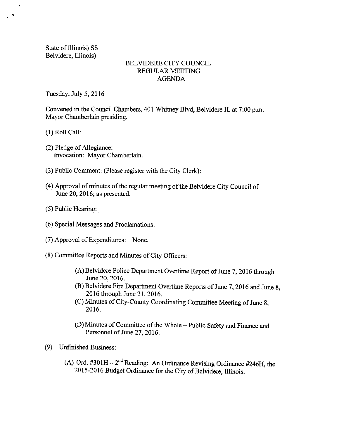State of Illinois) SS Belvidere, Illinois)

 $\cdot$   $\cdot$ 

# BELVIDERE CITY COUNCIL REGULAR MEETING AGENDA

Tuesday, July 5, 2016

Convened in the Council Chambers, 401 Whitney Blvd, Belvidere IL at 7:00 p.m. Mayor Chamberlain presiding.

1) Roll Call:

- (2) Pledge of Allegiance: Invocation: Mayor Chamberlain.
- 3) Public Comment: (Please register with the City Clerk):
- 4) Approval of minutes of the regular meeting of the Belvidere City Council of June 20, 2016; as presented.
- 5) Public Hearing:
- 6) Special Messages and Proclamations:
- (7) Approval of Expenditures: None.
- 8) Committee Reports and Minutes of City Officers:
	- A) Belvidere Police Department Overtime Report of June 7, 2016 through June 20, 2016.
	- B) Belvidere Fire Department Overtime Reports of June 7, 2016 and June 8, 2016 through June 21, 2016.
	- C) Minutes of City-County Coordinating Committee Meeting of June 8, 2016.
	- D) Minutes of Committee of the Whole—Public Safety and Finance and Personnel of June 27, 2016.
- 9) Unfinished Business:
	- A) Ord.  $\#301H 2^{nd}$  Reading: An Ordinance Revising Ordinance  $\#246H$ , the 2015-2016 Budget Ordinance for the City of Belvidere, Illinois.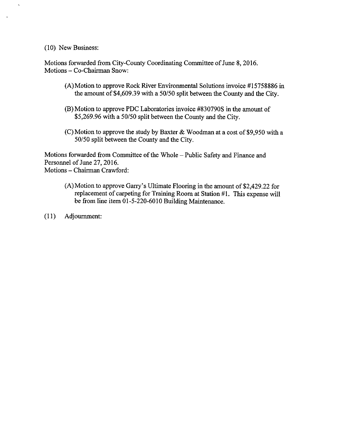10) New Business:

Motions forwarded from City-County Coordinating Committee of June 8, 2016. Motions— Co-Chairman Snow:

- (A)Motion to approve Rock River Environmental Solutions invoice #15758886 in the amount of \$4,609.39 with a 50/50 split between the County and the City.
- B) Motion to approve PDC Laboratories invoice #830790S in the amount of \$5,269.96 with a 50/50 split between the County and the City.
- (C) Motion to approve the study by Baxter & Woodman at a cost of \$9,950 with a 50/50 split between the County and the City.

Motions forwarded from Committee of the Whole—Public Safety and Finance and Personnel of June 27, 2016. Motions—Chairman Crawford:

- (A) Motion to approve Garry's Ultimate Flooring in the amount of \$2,429.22 for replacement of carpeting for Training Room at Station #1. This expense will be from line item 01-5-220-6010 Building Maintenance.
- 11) Adjournment: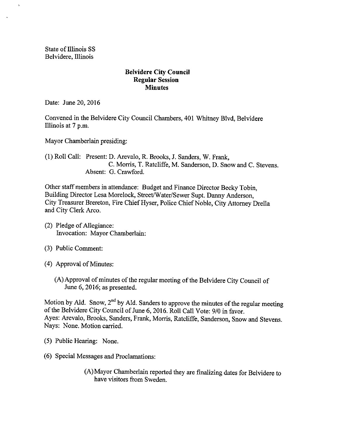State of Illinois SS Belvidere, Illinois

## Belvidere City Council Regular Session **Minutes**

Date: June 20, 2016

Convened in the Belvidere City Council Chambers, 401 Whitney Blvd, Belvidere Illinois at 7 p.m.

Mayor Chamberlain presiding:

1) Roll Call: Present: D. Arevalo, R. Brooks, J. Sanders, W. Frank, C. Morris, T. Ratcliffe, M. Sanderson, D. Snow and C. Stevens. Absent: G. Crawford.

Other staff members in attendance: Budget and Finance Director Becky Tobin, Building Director Lesa Morelock, Street/Water/Sewer Supt. Danny Anderson, City Treasurer Brereton, Fire Chief Hyser, Police Chief Noble, City Attorney Drella and City Clerk Arco.

- (2) Pledge of Allegiance: Invocation: Mayor Chamberlain:
- 3) Public Comment:
- 4) Approval of Minutes:
	- A)Approval of minutes of the regular meeting of the Belvidere City Council of June 6, 2016; as presented.

Motion by Ald. Snow,  $2^{nd}$  by Ald. Sanders to approve the minutes of the regular meeting of the Belvidere City Council of June 6, 2016. Roll Call Vote: 9/0 in favor. Ayes: Arevalo, Brooks, Sanders, Frank, Morris, Ratcliffe, Sanderson, Snow and Stevens. Nays: None. Motion carried.

- 5) Public Hearing: None.
- 6) Special Messages and Proclamations:

A) Mayor Chamberlain reported they are finalizing dates for Belvidere to have visitors from Sweden.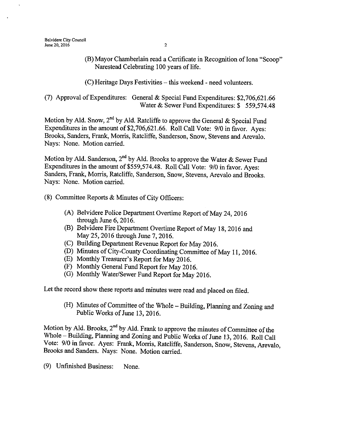B) Mayor Chamberlain read a Certificate in Recognition of Iona" Scoop" Narestead Celebrating 100 years of life.

C) Heritage Days Festivities—this weekend - need volunteers.

7) Approval ofExpenditures: General & Special Fund Expenditures: \$2,706,621. 66 Water & Sewer Fund Expenditures: \$ 559,574.48

Motion by Ald. Snow, 2<sup>nd</sup> by Ald. Ratcliffe to approve the General & Special Fund Expenditures in the amount of \$2,706,621.66. Roll Call Vote: 9/0 in favor. Ayes: Brooks, Sanders, Frank, Morris, Ratcliffe, Sanderson, Snow, Stevens and Arevalo. Nays: None. Motion carried.

Motion by Ald. Sanderson,  $2^{\text{nd}}$  by Ald. Brooks to approve the Water & Sewer Fund Expenditures in the amount of \$559, 574.48. Roll Call Vote: 9/0 in favor. Ayes: Sanders, Frank, Morris, Ratcliffe, Sanderson, Snow, Stevens, Arevalo and Brooks. Nays: None. Motion carried.

- 8) Committee Reports& Minutes of City Officers:
	- A) Belvidere Police Department Overtime Report of May 24, 2016 through June 6, 2016.
	- B) Belvidere Fire Department Overtime Report of May 18, 2016 and May 25, 2016 through June 7, 2016.
	- C) Building Department Revenue Report for May 2016.
	- D) Minutes of City-County Coordinating Committee of May 11, 2016.
	- (E) Monthly Treasurer's Report for May 2016.
	- F) Monthly General Fund Report for May 2016.
	- G) Monthly Water/Sewer Fund Report for May 2016.

Let the record show these reports and minutes were read and placed on filed.

(H) Minutes of Committee of the Whole – Building, Planning and Zoning and Public Works of June 13, 2016.

Motion by Ald. Brooks,  $2<sup>nd</sup>$  by Ald. Frank to approve the minutes of Committee of the Whole—Building, Planning and Zoning and Public Works of June 13, 2016. Roll Call Vote: 9/0 in favor. Ayes: Frank, Morris, Ratcliffe, Sanderson, Snow, Stevens, Arevalo, Brooks and Sanders. Nays: None. Motion carried.

9) Unfinished Business: None.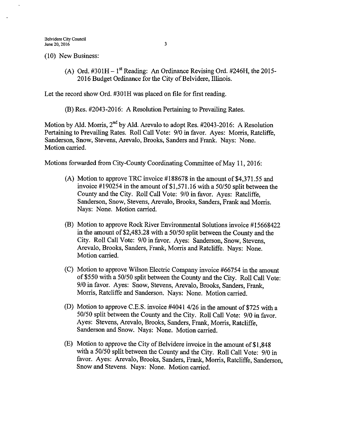10) New Business:

(A) Ord.  $\text{\#301H} - 1^{\text{st}}$  Reading: An Ordinance Revising Ord.  $\text{\#246H}$ , the 2015-2016 Budget Ordinance for the City of Belvidere, Illinois.

Let the record show Ord. #301H was placed on file for first reading.

(B) Res. #2043-2016: A Resolution Pertaining to Prevailing Rates.

Motion by Ald. Morris, 2<sup>nd</sup> by Ald. Arevalo to adopt Res. #2043-2016: A Resolution Pertaining to Prevailing Rates. Roll Call Vote: 9/0 in favor. Ayes: Morris, Ratcliffe, Sanderson, Snow, Stevens, Arevalo, Brooks, Sanders and Frank. Nays: None. Motion carried.

Motions forwarded from City-County Coordinating Committee of May 11, 2016:

- (A) Motion to approve TRC invoice  $\#188678$  in the amount of \$4,371.55 and invoice  $\#190254$  in the amount of \$1,571.16 with a 50/50 split between the County and the City. Roll Call Vote: 9/0 in favor. Ayes: Ratcliffe, Sanderson, Snow, Stevens, Arevalo, Brooks, Sanders, Frank and Morris. Nays: None. Motion carried.
- (B) Motion to approve Rock River Environmental Solutions invoice #15668422 in the amount of  $$2,483.28$  with a 50/50 split between the County and the City. Roll Call Vote: 9/0 in favor. Ayes: Sanderson, Snow, Stevens, Arevalo, Brooks, Sanders, Frank, Morris and Ratcliffe. Nays: None. Motion carried.
- $(C)$  Motion to approve Wilson Electric Company invoice #66754 in the amount of \$550 with a 50/50 split between the County and the City. Roll Call Vote: 9/0 in favor. Ayes: Snow, Stevens, Arevalo, Brooks, Sanders, Frank, Morris, Ratcliffe and Sanderson. Nays: None. Motion carried.
- (D) Motion to approve C.E.S. invoice #4041 4/26 in the amount of \$725 with a 50/50 split between the County and the City. Roll Call Vote: 9/0 in favor. Ayes: Stevens, Arevalo, Brooks, Sanders, Frank, Morris, Ratcliffe, Sanderson and Snow. Nays: None. Motion carried.
- $(E)$  Motion to approve the City of Belvidere invoice in the amount of \$1,848 with a 50/50 split between the County and the City. Roll Call Vote: 9/0 in favor. Ayes: Arevalo, Brooks, Sanders, Frank, Morris, Ratcliffe, Sanderson, Snow and Stevens. Nays: None. Motion carried.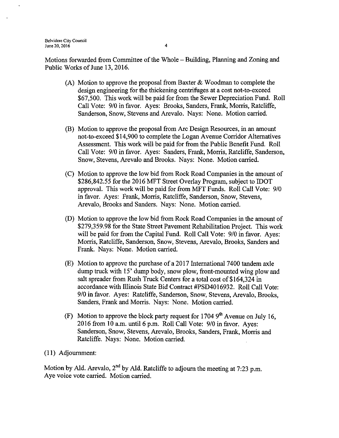Belvidere City Council June 20, 2016  $\frac{4}{3}$ 

Motions forwarded from Committee of the Whole— Building, Planning and Zoning and Public Works of June 13, 2016.

- (A) Motion to approve the proposal from Baxter  $\&$  Woodman to complete the design engineering for the thickening centrifuges at a cost not-to-exceed 67, 500. This work will be paid for from the Sewer Depreciation Fund. Roll Call Vote: 9/0 in favor. Ayes: Brooks, Sanders, Frank, Morris, Ratcliffe, Sanderson, Snow, Stevens and Arevalo. Nays: None. Motion carried.
- B) Motion to approve the proposal from Arc Design Resources, in an amount not-to-exceed \$14,900 to complete the Logan Avenue Corridor Alternatives Assessment. This work will be paid for from the Public Benefit Fund. Roll Call Vote: 9/0 in favor. Ayes: Sanders, Frank, Morris, Ratcliffe, Sanderson, Snow, Stevens, Arevalo and Brooks. Nays: None. Motion carried.
- C) Motion to approve the low bid from Rock Road Companies in the amount of \$286,842.55 for the 2016 MFT Street Overlay Program, subject to IDOT approval. This work will be paid for from MFT Funds. Roll Call Vote: 9/0 in favor. Ayes: Frank, Morris, Ratcliffe, Sanderson, Snow, Stevens, Arevalo, Brooks and Sanders. Nays: None. Motion carried.
- D) Motion to approve the low bid from Rock Road Companies in the amount of 279,359.98 for the State Street Pavement Rehabilitation Project. This work will be paid for from the Capital Fund. Roll Call Vote: 9/0 in favor. Ayes: Morris, Ratcliffe, Sanderson, Snow, Stevens, Arevalo, Brooks, Sanders and Frank. Nays: None. Motion carried.
- E) Motion to approve the purchase of <sup>a</sup> 2017 International 7400 tandem axle dump truck with 15' dump body, snow plow, front-mounted wing plow and salt spreader from Rush Truck Centers for a total cost of \$164,324 in accordance with Illinois State Bid Contract # PSD4016932. Roll Call Vote: 9/0 in favor. Ayes: Ratcliffe, Sanderson, Snow, Stevens, Arevalo, Brooks, Sanders, Frank and Morris. Nays: None. Motion carried.
- (F) Motion to approve the block party request for  $17049<sup>th</sup>$  Avenue on July 16, 2016 from 10 a.m. until 6 p.m. Roll Call Vote: 9/0 in favor. Ayes: Sanderson, Snow, Stevens, Arevalo, Brooks, Sanders, Frank, Morris and Ratcliffe. Nays: None. Motion carried.
- 11) Adjournment:

Motion by Ald. Arevalo,  $2<sup>nd</sup>$  by Ald. Ratcliffe to adjourn the meeting at 7:23 p.m. Aye voice vote carried. Motion carried.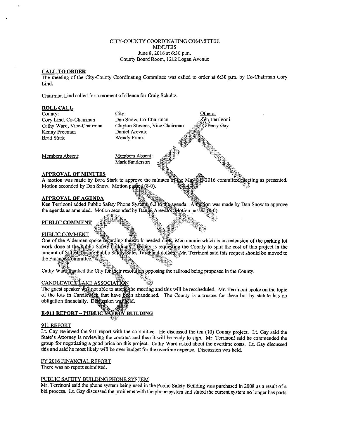#### CITY-COUNTY COORDINATING COMMITTEE **MINUTES** June 8, 2016 at 6:30 p.m. County Board Room, 1212 Logan Avenue

#### CALL TO ORDER

The meeting of the City-County Coordinating Committee was called to order at 6:30 p.m. by Co-Chairman Cory Lind.

Chairman Lind called for <sup>a</sup> moment of silence for Craig Schultz.



A motion was made by Bard Stark to approve the minutes of the May 1132016 committee meeting as presented. Motion seconded by Dan Snow. Motion passed (8-0).

#### APPROVAL OF AGENDA

Ken Terrinoni added Public Safety Phone System<sub>6.6</sub>3 to the agenda. A motion was made by Dan Snow to approve the agenda as amended. Motion seconded by Daniel Arevalo Motion passed (8-0).

s

#### PUBLIC COMMENT

#### PUBLIC COMMENT

One of the Aldermen spoke regarding the work needed onE. Menomonie which is an extension of the parking lot work done at the Public Safety building. The city is requesting the County to split the cost of this project in the amount of \$11,609 using Public Safety Safes Tax Fund dollars. Mr. Terrinoni said this request should be moved to the Finance Committee.

Cathy Ward thanked the City for their resolution opposing the railroad being proposed in the County.

#### CANDLEWICK LAKE ASSOCIATION

The guest speaker was not able to attend the meeting and this will be rescheduled. Mr. Terrinoni spoke on the topic of the lots in Candlewick that have been abandoned. The County is a trustee for these but by statute has no obligation financially. Diseassion was held.

### E-911 REPORT - PUBLIC SAFETY BUILDING

i B

#### 911 REPORT

Lt. Gay reviewed the 911 report with the committee. He discussed the ten ( 10) County project. Lt. Gay said the State's Attorney is reviewing the contract and then it will be ready to sign. Mr. Terrinoni said he commended the group for negotiating <sup>a</sup> good price on this project. Cathy Ward asked about the overtime costs. Lt. Gay discussed this and said he most likely will be over budget for the overtime expense. Discussion was held.

#### FY 2016 FINANCIAL REPORT

There was no report submitted.

#### PUBLIC SAFETY BUILDING PHONE SYSTEM

Mr. Terrinoni said the phone system being used in the Public Safety Building was purchased in 2008 as <sup>a</sup> result of <sup>a</sup> bid process. Lt. Gay discussed the problems with the phone system and stated the current system no longer has parts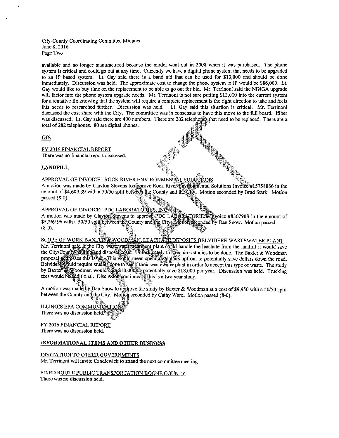City- County Coordinating Committee Minutes June 8, 2016 Page Two

available and no longer manufactured because the model went out in 2008 when it was purchased. The phone system is critical and could go out at any time. Currently we have a digital phone system that needs to be upgraded to an IP based system. Lt. Gay said there is a band aid that can be used for \$13,000 and should be done immediately. Discussion was held. The approximate cost to change the phone system to IP would be \$86,000. Lt. Gay would like to buy time on the replacement to be able to go out for bid. Mr. Terrinoni said the NINGA upgrade will factor into the phone system upgrade needs. Mr. Terrinoni is not sure putting \$13,000 into the current system for a tentative fix knowing that the system will require a complete replacement is the right direction to take and feels this needs to researched further. Discussion was held. Lt. Gay said this situation is critical. Mr. Terrinoni discussed the cost share with the City. The committee was in consensus to have this move to the full board. Ifiber was discussed. Lt. Gay said there are 400 numbers. There are 202 telephones that need to be replaced. There are a total of282 telephones. 80 are digital phones.  $\hat{\mathbf{x}}$ 

#### **GIS**

FY 2016 FINANCIAL REPORT There was no financial report discussed.

#### **LANDFILL**

#### APPROVAL OF INVOICE: ROCK RIVER ENVIRONMENTAL SOLUTIONS

A motion was made by Clayton Stevens to approve Rock RiverEnvironmental Solutions Invoice#15758886 in the amount of \$4,609.39 with a 50/50 split between the County and the City. Motion seconded by Brad Stark. Motion passed  $(8-0)$ .

te er

#### APPROVAL OF INVOICE: PDC LABORATORIES, INC.

A motion was made by Clayton Stevens to approve PDC LABORATORIES. Thyoice #830790S in the amount of \$5,269.96 with a 50/50 split between the County and the City Motion seconded by Dan Snow. Motion passed  $(8-0)$ .

#### SCOPE OF WORK BAXTER & WOODMAN, LEACHATE DEPOSITS BELVIDERE WASTEWATER PLANT

Mr. Terrinoni said if the City wastewater treatment plant could handle the leachate from the landfill it would save the City/County hauling and disposaltosts. Unfortunately this requires studies to be done. The Baxter & Woodman proposal addresses this issue. This would mean spending dollars upfront to potentially save dollars down the road. Belvidere would require studies done to see if their wastewater plant in order to accept this type of waste. The study by Baxter Woodman would cost \$10,000 fo potentially save \$18,000 per year. Discussion was held. Trucking fees would be additional. Discussion continued. This is a two year study.

A motion was made by Dan Snow to approve the study by Baxter & Woodman at a cost of \$9,950 with a 50/50 split between the County and the City. Motion seconded by Cathy Ward. Motion passed (8-0).

### ê ILLINOIS EPA COMMUNICATIO

There was no discussion held:

FY 2016 FINANCIAL REPORT There was no discussion held.

#### INFORMATIONAL ITEMS AND OTHER BUSINESS

# INVITATION TO OTHER GOVERNMENTS

Mr. Terrinoni will invite Candlewick to attend the next committee meeting.

FIXED ROUTE PUBLIC TRANSPORTATION BOONE COUNTY There was no discussion held.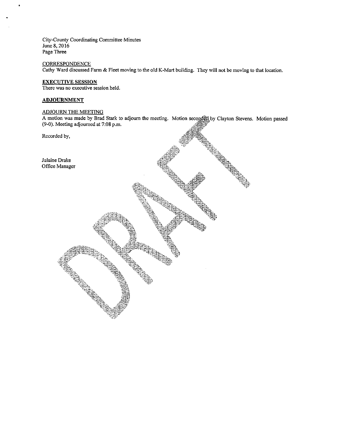City-County Coordinating Committee Minutes June 8, 2016 Page Three

**CORRESPONDENCE** Cathy Ward discussed Farm& Fleet moving to the old K-Mart building. They will not be moving to that location.

#### EXECUTIVE SESSION

There was no executive session held.

#### ADJOURNMENT

#### ADJOURN THE MEETING

A motion was made by Brad Stark to adjourn the meeting. Motion seconded by Clayton Stevens. Motion passed (9-0). Meeting adjourned at 7:08 p.m.

Recorded by,

Julaine Drake Office Manager

nfj r r fix, y<br>E It I e d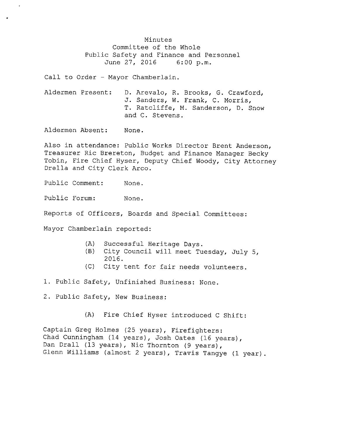Minutes Committee of the Whole Public Safety and Finance and Personnel<br>June 27, 2016 6:00 p.m. June 27, 2016

Call to Order - Mayor Chamberlain.

Aldermen Present: D. Arevalo, R. Brooks, G. Crawford, J. Sanders, W. Frank, C. Morris, T. Ratcliffe, M. Sanderson, D. Snow and C. Stevens .

Aldermen Absent: None.

Also in attendance: Public Works Director Brent Anderson, Treasurer Ric Brereton, Budget and Finance Manager Becky Tobin, Fire Chief Hyser, Deputy Chief Woody, City Attorney Drella and City Clerk Arco.

Public Comment: None.

Public Forum: None.

Reports of Officers, Boards and Special Committees :

Mayor Chamberlain reported:

- A) Successful Heritage Days.
- B) City Council will meet Tuesday, July 5, 2016.
- C) City tent for fair needs volunteers.
- 1. Public Safety, Unfinished Business: None.
- 2. Public Safety, New Business:
	- A) Fire Chief Hyser introduced <sup>C</sup> Shift :

Captain Greg Holmes (25 years), Firefighters: Chad Cunningham (14 years), Josh Oates (16 years), Dan Drall (13 years), Nic Thornton (9 years), Glenn Williams (almost 2 years), Travis Tangye (1 year).